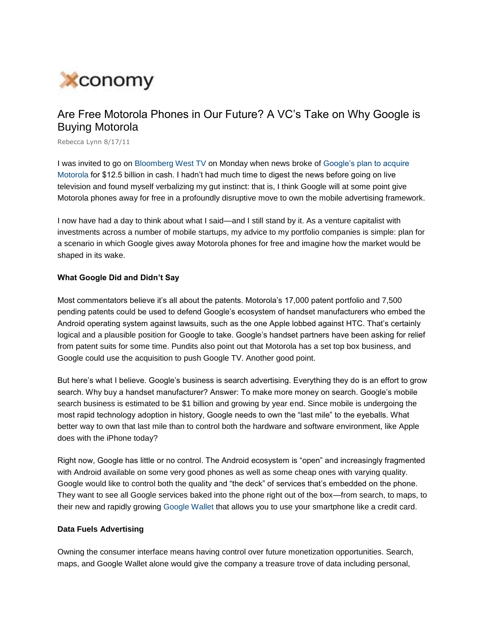

## Are Free Motorola Phones in Our Future? A VC's Take on Why Google is Buying Motorola

Rebecca Lynn 8/17/11

I was invited to go on Bloomberg West TV on Monday when news broke of Google's plan to acquire Motorola for \$12.5 billion in cash. I hadn't had much time to digest the news before going on live television and found myself verbalizing my gut instinct: that is, I think Google will at some point give Motorola phones away for free in a profoundly disruptive move to own the mobile advertising framework.

I now have had a day to think about what I said—and I still stand by it. As a venture capitalist with investments across a number of mobile startups, my advice to my portfolio companies is simple: plan for a scenario in which Google gives away Motorola phones for free and imagine how the market would be shaped in its wake.

## **What Google Did and Didn't Say**

Most commentators believe it's all about the patents. Motorola's 17,000 patent portfolio and 7,500 pending patents could be used to defend Google's ecosystem of handset manufacturers who embed the Android operating system against lawsuits, such as the one Apple lobbed against HTC. That's certainly logical and a plausible position for Google to take. Google's handset partners have been asking for relief from patent suits for some time. Pundits also point out that Motorola has a set top box business, and Google could use the acquisition to push Google TV. Another good point.

But here's what I believe. Google's business is search advertising. Everything they do is an effort to grow search. Why buy a handset manufacturer? Answer: To make more money on search. Google's mobile search business is estimated to be \$1 billion and growing by year end. Since mobile is undergoing the most rapid technology adoption in history, Google needs to own the "last mile" to the eyeballs. What better way to own that last mile than to control both the hardware and software environment, like Apple does with the iPhone today?

Right now, Google has little or no control. The Android ecosystem is "open" and increasingly fragmented with Android available on some very good phones as well as some cheap ones with varying quality. Google would like to control both the quality and "the deck" of services that's embedded on the phone. They want to see all Google services baked into the phone right out of the box—from search, to maps, to their new and rapidly growing Google Wallet that allows you to use your smartphone like a credit card.

## **Data Fuels Advertising**

Owning the consumer interface means having control over future monetization opportunities. Search, maps, and Google Wallet alone would give the company a treasure trove of data including personal,